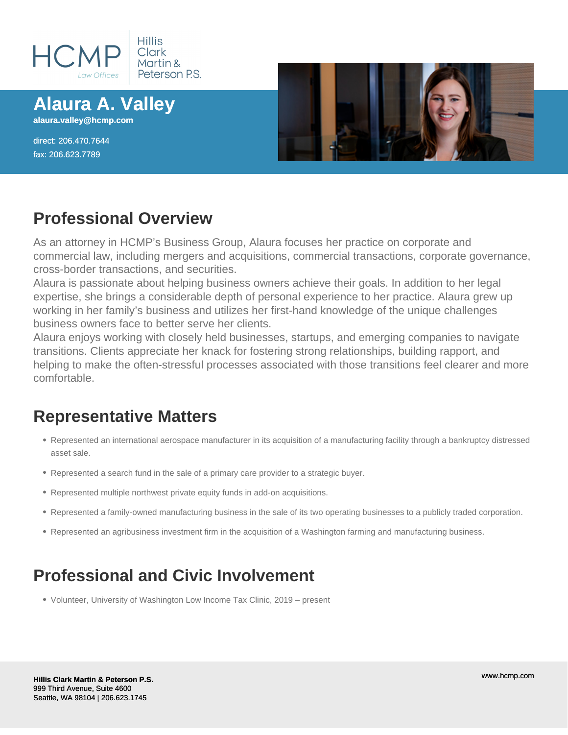

**Alaura A. Valley**

**alaura.valley@hcmp.com**

direct: 206.470.7644 fax: 206.623.7789



#### **Professional Overview**

As an attorney in HCMP's Business Group, Alaura focuses her practice on corporate and commercial law, including mergers and acquisitions, commercial transactions, corporate governance, cross-border transactions, and securities.

Alaura is passionate about helping business owners achieve their goals. In addition to her legal expertise, she brings a considerable depth of personal experience to her practice. Alaura grew up working in her family's business and utilizes her first-hand knowledge of the unique challenges business owners face to better serve her clients.

Alaura enjoys working with closely held businesses, startups, and emerging companies to navigate transitions. Clients appreciate her knack for fostering strong relationships, building rapport, and helping to make the often-stressful processes associated with those transitions feel clearer and more comfortable.

#### **Representative Matters**

- Represented an international aerospace manufacturer in its acquisition of a manufacturing facility through a bankruptcy distressed asset sale.
- Represented a search fund in the sale of a primary care provider to a strategic buyer.
- Represented multiple northwest private equity funds in add-on acquisitions.
- Represented a family-owned manufacturing business in the sale of its two operating businesses to a publicly traded corporation.
- Represented an agribusiness investment firm in the acquisition of a Washington farming and manufacturing business.

# **Professional and Civic Involvement**

• Volunteer, University of Washington Low Income Tax Clinic, 2019 – present